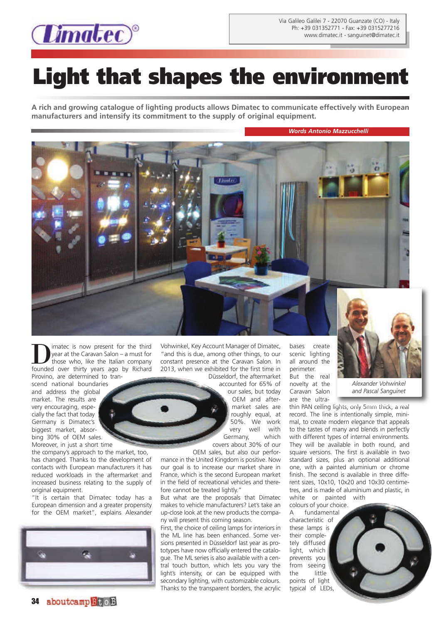

## **Light that shapes the environment**

**A rich and growing catalogue of lighting products allows Dimatec to communicate effectively with European manufacturers and intensify its commitment to the supply of original equipment.**

*Words Antonio Mazzucchelli*



imatec is now present for the third year at the Caravan Salon – a must for those who, like the Italian company founded over thirty years ago by Richard Pirovino, are determined to tran-

scend national boundaries and address the global market. The results are very encouraging, especially the fact that today Germany is Dimatec's biggest market, absorbing 30% of OEM sales. Moreover, in just a short time

the company's approach to the market, too, has changed. Thanks to the development of contacts with European manufacturers it has reduced workloads in the aftermarket and increased business relating to the supply of original equipment.

"It is certain that Dimatec today has a European dimension and a greater propensity for the OEM market", explains Alexander



Vohwinkel, Key Account Manager of Dimatec, "and this is due, among other things, to our constant presence at the Caravan Salon. In 2013, when we exhibited for the first time in Düsseldorf, the aftermarket

> accounted for 65% of our sales, but today OEM and aftermarket sales are roughly equal, at 50%. We work very well with Germany, which covers about 30% of our

OEM sales, but also our performance in the United Kingdom is positive. Now our goal is to increase our market share in France, which is the second European market in the field of recreational vehicles and therefore cannot be treated lightly."

But what are the proposals that Dimatec makes to vehicle manufacturers? Let's take an up-close look at the new products the company will present this coming season.

First, the choice of ceiling lamps for interiors in the ML line has been enhanced. Some versions presented in Düsseldorf last year as prototypes have now officially entered the catalogue. The ML series is also available with a central touch button, which lets you vary the light's intensity, or can be equipped with secondary lighting, with customizable colours. Thanks to the transparent borders, the acrylic

bases create scenic lighting all around the perimeter. But the real novelty at the Caravan Salon are the ultra-



*Alexander Vohwinkel and Pascal Sanguinet*

thin PAN ceiling lights, only 5mm thick, a real record. The line is intentionally simple, minimal, to create modern elegance that appeals to the tastes of many and blends in perfectly with different types of internal environments. They will be available in both round, and square versions. The first is available in two standard sizes, plus an optional additional one, with a painted aluminium or chrome finish. The second is available in three different sizes, 10x10, 10x20 and 10x30 centimetres, and is made of aluminium and plastic, in white or painted with

colours of your choice. A fundamental characteristic of these lamps is their completely diffused light, which prevents you from seeing the little points of light typical of LEDs,